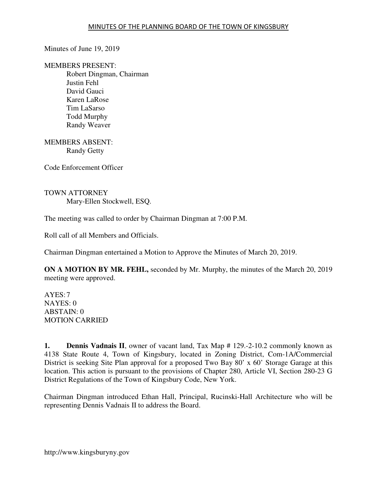Minutes of June 19, 2019

MEMBERS PRESENT:

Robert Dingman, Chairman Justin Fehl David Gauci Karen LaRose Tim LaSarso Todd Murphy Randy Weaver

MEMBERS ABSENT: Randy Getty

Code Enforcement Officer

TOWN ATTORNEY Mary-Ellen Stockwell, ESQ.

The meeting was called to order by Chairman Dingman at 7:00 P.M.

Roll call of all Members and Officials.

Chairman Dingman entertained a Motion to Approve the Minutes of March 20, 2019.

**ON A MOTION BY MR. FEHL,** seconded by Mr. Murphy, the minutes of the March 20, 2019 meeting were approved.

AYES: 7 NAYES: 0 ABSTAIN: 0 MOTION CARRIED

**1. Dennis Vadnais II**, owner of vacant land, Tax Map # 129.-2-10.2 commonly known as 4138 State Route 4, Town of Kingsbury, located in Zoning District, Com-1A/Commercial District is seeking Site Plan approval for a proposed Two Bay 80' x 60' Storage Garage at this location. This action is pursuant to the provisions of Chapter 280, Article VI, Section 280-23 G District Regulations of the Town of Kingsbury Code, New York.

Chairman Dingman introduced Ethan Hall, Principal, Rucinski-Hall Architecture who will be representing Dennis Vadnais II to address the Board.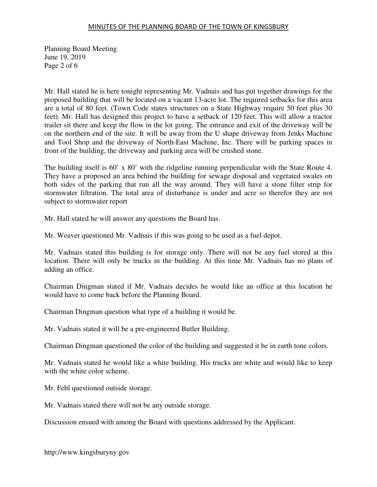#### MINUTES OF THE PLANNING BOARD OF THE TOWN OF KINGSBURY

Planning Board Meeting June 19, 2019 Page 2 of 6

Mr. Hall stated he is here tonight representing Mr. Vadnais and has put together drawings for the proposed building that will be located on a vacant 13-acre lot. The required setbacks for this area are a total of 80 feet. (Town Code states structures on a State Highway require 50 feet plus 30 feet). Mr. Hall has designed this project to have a setback of 120 feet. This will allow a tractor trailer sit there and keep the flow in the lot going. The entrance and exit of the driveway will be on the northern end of the site. It will be away from the U shape driveway from Jenks Machine and Tool Shop and the driveway of North-East Machine, Inc. There will be parking spaces in front of the building, the driveway and parking area will be crushed stone.

The building itself is 60' x 80' with the ridgeline running perpendicular with the State Route 4. They have a proposed an area behind the building for sewage disposal and vegetated swales on both sides of the parking that run all the way around. They will have a stone filter strip for stormwater filtration. The total area of disturbance is under and acre so therefor they are not subject to stormwater report

Mr. Hall stated he will answer any questions the Board has.

Mr. Weaver questioned Mr. Vadnais if this was going to be used as a fuel depot.

Mr. Vadnais stated this building is for storage only. There will not be any fuel stored at this location. There will only be trucks in the building. At this time Mr. Vadnais has no plans of adding an office.

Chairman Dingman stated if Mr. Vadnais decides he would like an office at this location he would have to come back before the Planning Board.

Chairman Dingman question what type of a building it would be.

Mr. Vadnais stated it will be a pre-engineered Butler Building.

Chairman Dingman questioned the color of the building and suggested it be in earth tone colors.

Mr. Vadnais stated he would like a white building. His trucks are white and would like to keep with the white color scheme.

Mr. Fehl questioned outside storage.

Mr. Vadnais stated there will not be any outside storage.

Discussion ensued with among the Board with questions addressed by the Applicant.

http://www.kingsburyny.gov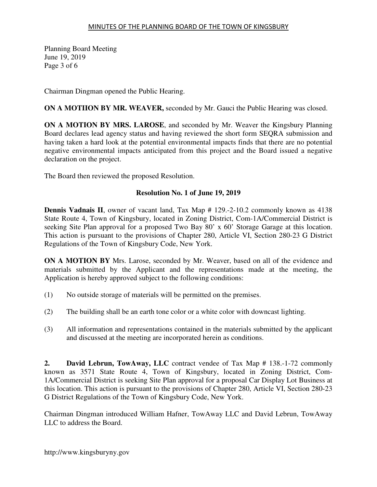Planning Board Meeting June 19, 2019 Page 3 of 6

Chairman Dingman opened the Public Hearing.

**ON A MOTIION BY MR. WEAVER,** seconded by Mr. Gauci the Public Hearing was closed.

**ON A MOTION BY MRS. LAROSE**, and seconded by Mr. Weaver the Kingsbury Planning Board declares lead agency status and having reviewed the short form SEQRA submission and having taken a hard look at the potential environmental impacts finds that there are no potential negative environmental impacts anticipated from this project and the Board issued a negative declaration on the project.

The Board then reviewed the proposed Resolution.

# **Resolution No. 1 of June 19, 2019**

**Dennis Vadnais II**, owner of vacant land, Tax Map # 129.-2-10.2 commonly known as 4138 State Route 4, Town of Kingsbury, located in Zoning District, Com-1A/Commercial District is seeking Site Plan approval for a proposed Two Bay 80' x 60' Storage Garage at this location. This action is pursuant to the provisions of Chapter 280, Article VI, Section 280-23 G District Regulations of the Town of Kingsbury Code, New York.

**ON A MOTION BY** Mrs. Larose, seconded by Mr. Weaver, based on all of the evidence and materials submitted by the Applicant and the representations made at the meeting, the Application is hereby approved subject to the following conditions:

- (1) No outside storage of materials will be permitted on the premises.
- (2) The building shall be an earth tone color or a white color with downcast lighting.
- (3) All information and representations contained in the materials submitted by the applicant and discussed at the meeting are incorporated herein as conditions.

**2. David Lebrun, TowAway, LLC** contract vendee of Tax Map # 138.-1-72 commonly known as 3571 State Route 4, Town of Kingsbury, located in Zoning District, Com-1A/Commercial District is seeking Site Plan approval for a proposal Car Display Lot Business at this location. This action is pursuant to the provisions of Chapter 280, Article VI, Section 280-23 G District Regulations of the Town of Kingsbury Code, New York.

Chairman Dingman introduced William Hafner, TowAway LLC and David Lebrun, TowAway LLC to address the Board.

http://www.kingsburyny.gov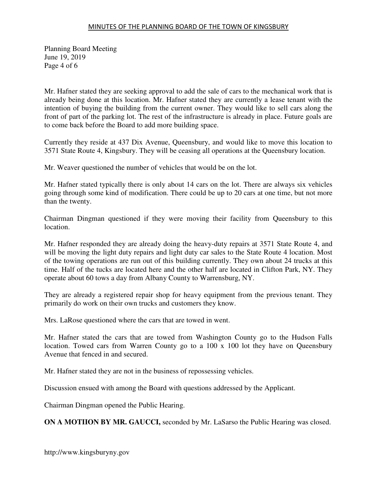# MINUTES OF THE PLANNING BOARD OF THE TOWN OF KINGSBURY

Planning Board Meeting June 19, 2019 Page 4 of 6

Mr. Hafner stated they are seeking approval to add the sale of cars to the mechanical work that is already being done at this location. Mr. Hafner stated they are currently a lease tenant with the intention of buying the building from the current owner. They would like to sell cars along the front of part of the parking lot. The rest of the infrastructure is already in place. Future goals are to come back before the Board to add more building space.

Currently they reside at 437 Dix Avenue, Queensbury, and would like to move this location to 3571 State Route 4, Kingsbury. They will be ceasing all operations at the Queensbury location.

Mr. Weaver questioned the number of vehicles that would be on the lot.

Mr. Hafner stated typically there is only about 14 cars on the lot. There are always six vehicles going through some kind of modification. There could be up to 20 cars at one time, but not more than the twenty.

Chairman Dingman questioned if they were moving their facility from Queensbury to this location.

Mr. Hafner responded they are already doing the heavy-duty repairs at 3571 State Route 4, and will be moving the light duty repairs and light duty car sales to the State Route 4 location. Most of the towing operations are run out of this building currently. They own about 24 trucks at this time. Half of the tucks are located here and the other half are located in Clifton Park, NY. They operate about 60 tows a day from Albany County to Warrensburg, NY.

They are already a registered repair shop for heavy equipment from the previous tenant. They primarily do work on their own trucks and customers they know.

Mrs. LaRose questioned where the cars that are towed in went.

Mr. Hafner stated the cars that are towed from Washington County go to the Hudson Falls location. Towed cars from Warren County go to a 100 x 100 lot they have on Queensbury Avenue that fenced in and secured.

Mr. Hafner stated they are not in the business of repossessing vehicles.

Discussion ensued with among the Board with questions addressed by the Applicant.

Chairman Dingman opened the Public Hearing.

**ON A MOTIION BY MR. GAUCCI,** seconded by Mr. LaSarso the Public Hearing was closed.

http://www.kingsburyny.gov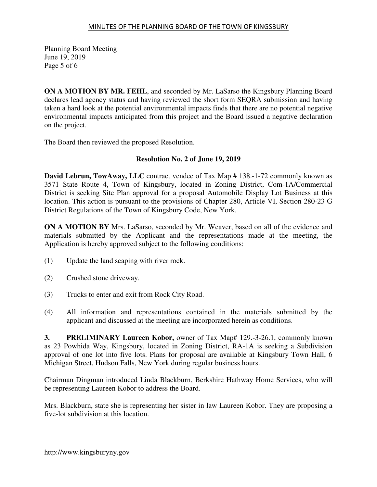Planning Board Meeting June 19, 2019 Page 5 of 6

**ON A MOTION BY MR. FEHL**, and seconded by Mr. LaSarso the Kingsbury Planning Board declares lead agency status and having reviewed the short form SEQRA submission and having taken a hard look at the potential environmental impacts finds that there are no potential negative environmental impacts anticipated from this project and the Board issued a negative declaration on the project.

The Board then reviewed the proposed Resolution.

# **Resolution No. 2 of June 19, 2019**

**David Lebrun, TowAway, LLC** contract vendee of Tax Map # 138.-1-72 commonly known as 3571 State Route 4, Town of Kingsbury, located in Zoning District, Com-1A/Commercial District is seeking Site Plan approval for a proposal Automobile Display Lot Business at this location. This action is pursuant to the provisions of Chapter 280, Article VI, Section 280-23 G District Regulations of the Town of Kingsbury Code, New York.

**ON A MOTION BY** Mrs. LaSarso, seconded by Mr. Weaver, based on all of the evidence and materials submitted by the Applicant and the representations made at the meeting, the Application is hereby approved subject to the following conditions:

- (1) Update the land scaping with river rock.
- (2) Crushed stone driveway.
- (3) Trucks to enter and exit from Rock City Road.
- (4) All information and representations contained in the materials submitted by the applicant and discussed at the meeting are incorporated herein as conditions.

**3. PRELIMINARY Laureen Kobor,** owner of Tax Map# 129.-3-26.1, commonly known as 23 Powhida Way, Kingsbury, located in Zoning District, RA-1A is seeking a Subdivision approval of one lot into five lots. Plans for proposal are available at Kingsbury Town Hall, 6 Michigan Street, Hudson Falls, New York during regular business hours.

Chairman Dingman introduced Linda Blackburn, Berkshire Hathway Home Services, who will be representing Laureen Kobor to address the Board.

Mrs. Blackburn, state she is representing her sister in law Laureen Kobor. They are proposing a five-lot subdivision at this location.